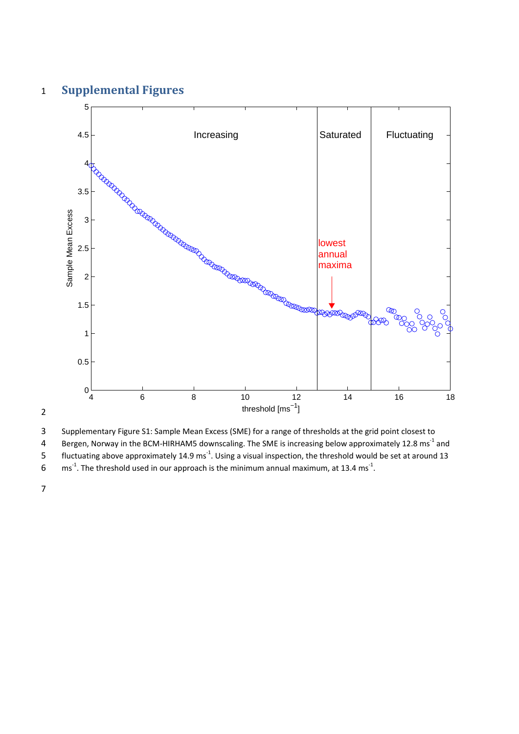## 1 **Supplemental Figures**



2

3 Supplementary Figure S1: Sample Mean Excess (SME) for a range of thresholds at the grid point closest to

4 Bergen, Norway in the BCM-HIRHAM5 downscaling. The SME is increasing below approximately 12.8 ms<sup>-1</sup> and

fluctuating above approximately 14.9 ms<sup>-1</sup>. Using a visual inspection, the threshold would be set at around 13 6 ms<sup>-1</sup>. The threshold used in our approach is the minimum annual maximum, at 13.4 ms<sup>-1</sup>.

7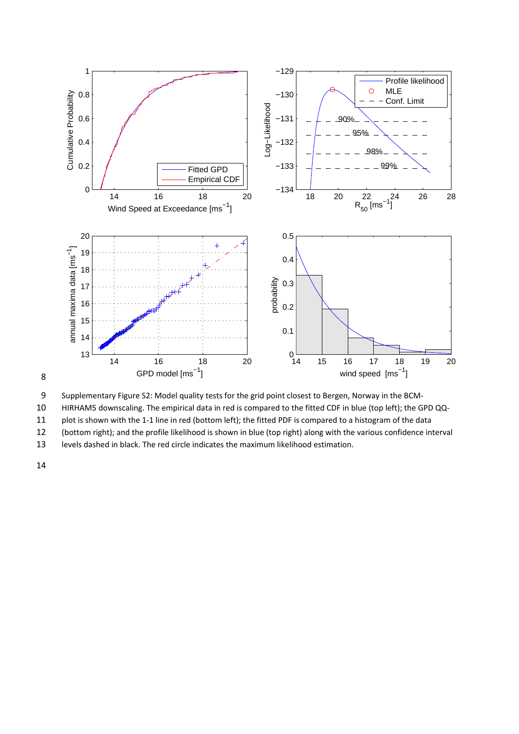

8



10 HIRHAM5 downscaling. The empirical data in red is compared to the fitted CDF in blue (top left); the GPD QQ‐

11 plot is shown with the 1-1 line in red (bottom left); the fitted PDF is compared to a histogram of the data

12 (bottom right); and the profile likelihood is shown in blue (top right) along with the various confidence interval

13 levels dashed in black. The red circle indicates the maximum likelihood estimation.

14